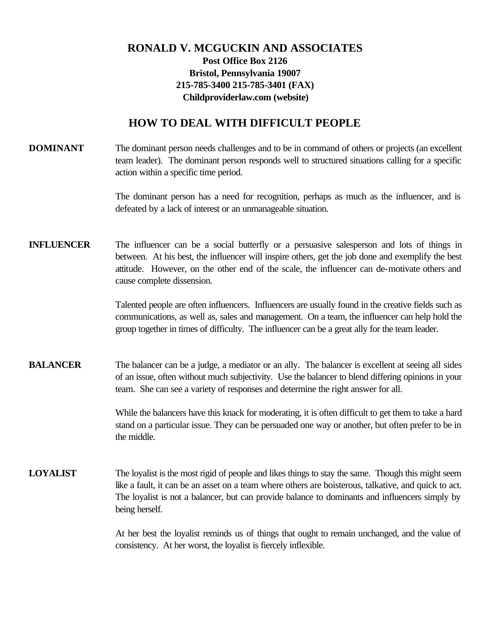## **RONALD V. MCGUCKIN AND ASSOCIATES Post Office Box 2126 Bristol, Pennsylvania 19007 215-785-3400 215-785-3401 (FAX) Childproviderlaw.com (website)**

## **HOW TO DEAL WITH DIFFICULT PEOPLE**

**DOMINANT** The dominant person needs challenges and to be in command of others or projects (an excellent team leader). The dominant person responds well to structured situations calling for a specific action within a specific time period.

> The dominant person has a need for recognition, perhaps as much as the influencer, and is defeated by a lack of interest or an unmanageable situation.

**INFLUENCER** The influencer can be a social butterfly or a persuasive salesperson and lots of things in between. At his best, the influencer will inspire others, get the job done and exemplify the best attitude. However, on the other end of the scale, the influencer can de-motivate others and cause complete dissension.

> Talented people are often influencers. Influencers are usually found in the creative fields such as communications, as well as, sales and management. On a team, the influencer can help hold the group together in times of difficulty. The influencer can be a great ally for the team leader.

**BALANCER** The balancer can be a judge, a mediator or an ally. The balancer is excellent at seeing all sides of an issue, often without much subjectivity. Use the balancer to blend differing opinions in your team. She can see a variety of responses and determine the right answer for all.

> While the balancers have this knack for moderating, it is often difficult to get them to take a hard stand on a particular issue. They can be persuaded one way or another, but often prefer to be in the middle.

**LOYALIST** The loyalist is the most rigid of people and likes things to stay the same. Though this might seem like a fault, it can be an asset on a team where others are boisterous, talkative, and quick to act. The loyalist is not a balancer, but can provide balance to dominants and influencers simply by being herself.

> At her best the loyalist reminds us of things that ought to remain unchanged, and the value of consistency. At her worst, the loyalist is fiercely inflexible.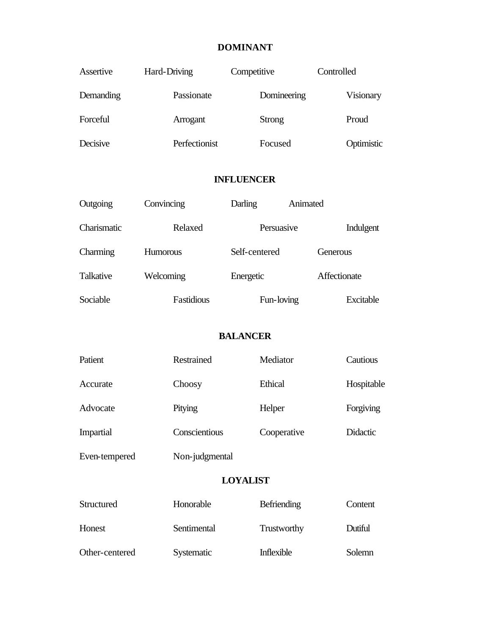### **DOMINANT**

| Assertive | Hard-Driving  | Competitive   | Controlled |
|-----------|---------------|---------------|------------|
| Demanding | Passionate    | Domineering   | Visionary  |
| Forceful  | Arrogant      | <b>Strong</b> | Proud      |
| Decisive  | Perfectionist | Focused       | Optimistic |

### **INFLUENCER**

| Outgoing    | Convincing      | Animated<br>Darling |              |
|-------------|-----------------|---------------------|--------------|
| Charismatic | Relaxed         | Persuasive          | Indulgent    |
| Charming    | <b>Humorous</b> | Self-centered       | Generous     |
| Talkative   | Welcoming       | Energetic           | Affectionate |
| Sociable    | Fastidious      | Fun-loving          | Excitable    |

### **BALANCER**

| Patient          | Restrained     | Mediator    | Cautious        |
|------------------|----------------|-------------|-----------------|
| Accurate         | Choosy         | Ethical     | Hospitable      |
| Advocate         | Pitying        | Helper      | Forgiving       |
| <b>Impartial</b> | Conscientious  | Cooperative | <b>Didactic</b> |
| Even-tempered    | Non-judgmental |             |                 |

#### **LOYALIST**

| Structured     | Honorable   | Befriending | Content |
|----------------|-------------|-------------|---------|
| Honest         | Sentimental | Trustworthy | Dutiful |
| Other-centered | Systematic  | Inflexible  | Solemn  |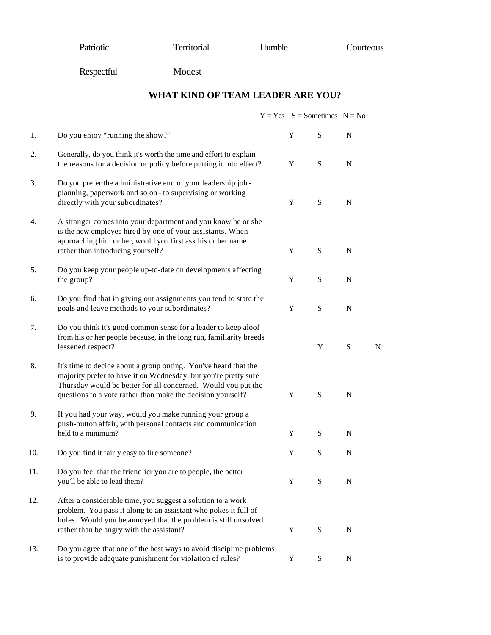Patriotic Territorial Humble Courteous

Respectful Modest

**WHAT KIND OF TEAM LEADER ARE YOU?**

|     |                                                                                                                                                                                                                                                                    |             | $Y = Yes$ S = Sometimes N = No |             |   |
|-----|--------------------------------------------------------------------------------------------------------------------------------------------------------------------------------------------------------------------------------------------------------------------|-------------|--------------------------------|-------------|---|
| 1.  | Do you enjoy "running the show?"                                                                                                                                                                                                                                   | Y           | S                              | $\mathbf N$ |   |
| 2.  | Generally, do you think it's worth the time and effort to explain<br>the reasons for a decision or policy before putting it into effect?                                                                                                                           | $\mathbf Y$ | ${\bf S}$                      | $\mathbf N$ |   |
| 3.  | Do you prefer the administrative end of your leadership job -<br>planning, paperwork and so on - to supervising or working<br>directly with your subordinates?                                                                                                     | Y           | S                              | N           |   |
| 4.  | A stranger comes into your department and you know he or she<br>is the new employee hired by one of your assistants. When<br>approaching him or her, would you first ask his or her name<br>rather than introducing yourself?                                      | Y           | S                              | $\mathbf N$ |   |
| 5.  | Do you keep your people up-to-date on developments affecting<br>the group?                                                                                                                                                                                         | Y           | ${\bf S}$                      | $\mathbf N$ |   |
| 6.  | Do you find that in giving out assignments you tend to state the<br>goals and leave methods to your subordinates?                                                                                                                                                  | Y           | S                              | $\mathbf N$ |   |
| 7.  | Do you think it's good common sense for a leader to keep aloof<br>from his or her people because, in the long run, familiarity breeds<br>lessened respect?                                                                                                         |             | Y                              | ${\bf S}$   | N |
| 8.  | It's time to decide about a group outing. You've heard that the<br>majority prefer to have it on Wednesday, but you're pretty sure<br>Thursday would be better for all concerned. Would you put the<br>questions to a vote rather than make the decision yourself? | Y           | S                              | $\mathbf N$ |   |
| 9.  | If you had your way, would you make running your group a<br>push-button affair, with personal contacts and communication<br>held to a minimum?                                                                                                                     | Y           | S                              | $\mathbf N$ |   |
| 10. | Do you find it fairly easy to fire someone?                                                                                                                                                                                                                        | Y           | S                              | $\mathbf N$ |   |
| 11. | Do you feel that the friendlier you are to people, the better<br>you'll be able to lead them?                                                                                                                                                                      | Y           | S                              | N           |   |
| 12. | After a considerable time, you suggest a solution to a work<br>problem. You pass it along to an assistant who pokes it full of<br>holes. Would you be annoyed that the problem is still unsolved<br>rather than be angry with the assistant?                       | Y           | ${\bf S}$                      | $\mathbf N$ |   |
| 13. | Do you agree that one of the best ways to avoid discipline problems<br>is to provide adequate punishment for violation of rules?                                                                                                                                   | Y           | S                              | $\mathbf N$ |   |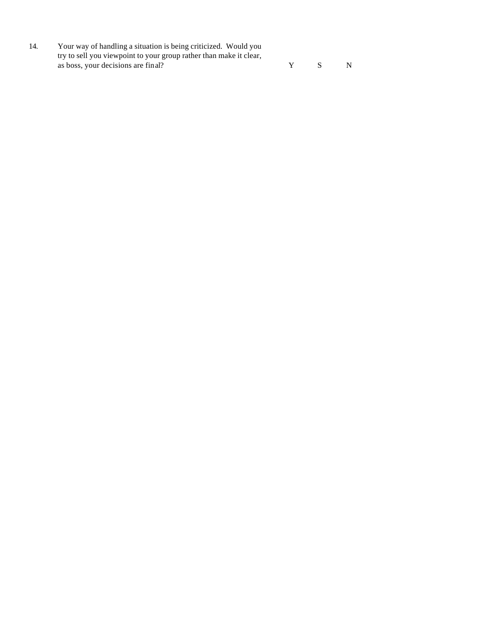14. Your way of handling a situation is being criticized. Would you try to sell you viewpoint to your group rather than make it clear, as boss, your decisions are final? Y S N